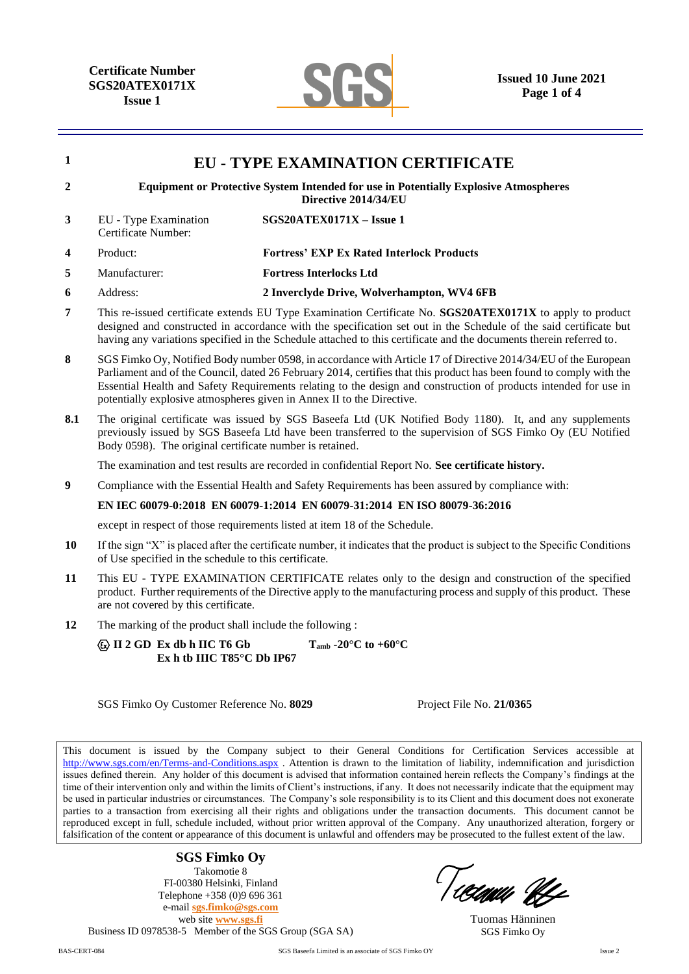**Certificate Number SGS20ATEX0171X Issue 1**



| $\mathbf{1}$            |                                                                                                                                                                                                                                                                                                                                                                                                                                     | <b>EU - TYPE EXAMINATION CERTIFICATE</b>                                   |  |  |  |
|-------------------------|-------------------------------------------------------------------------------------------------------------------------------------------------------------------------------------------------------------------------------------------------------------------------------------------------------------------------------------------------------------------------------------------------------------------------------------|----------------------------------------------------------------------------|--|--|--|
| $\overline{2}$          | <b>Equipment or Protective System Intended for use in Potentially Explosive Atmospheres</b><br>Directive 2014/34/EU                                                                                                                                                                                                                                                                                                                 |                                                                            |  |  |  |
| 3                       | EU - Type Examination<br>Certificate Number:                                                                                                                                                                                                                                                                                                                                                                                        | SGS20ATEX0171X - Issue 1                                                   |  |  |  |
| $\overline{\mathbf{4}}$ | Product:                                                                                                                                                                                                                                                                                                                                                                                                                            | <b>Fortress' EXP Ex Rated Interlock Products</b>                           |  |  |  |
| 5                       | Manufacturer:                                                                                                                                                                                                                                                                                                                                                                                                                       | <b>Fortress Interlocks Ltd</b>                                             |  |  |  |
| 6                       | Address:                                                                                                                                                                                                                                                                                                                                                                                                                            | 2 Inverclyde Drive, Wolverhampton, WV4 6FB                                 |  |  |  |
| $\overline{7}$          | This re-issued certificate extends EU Type Examination Certificate No. SGS20ATEX0171X to apply to product<br>designed and constructed in accordance with the specification set out in the Schedule of the said certificate but<br>having any variations specified in the Schedule attached to this certificate and the documents therein referred to.                                                                               |                                                                            |  |  |  |
| 8                       | SGS Fimko Oy, Notified Body number 0598, in accordance with Article 17 of Directive 2014/34/EU of the European<br>Parliament and of the Council, dated 26 February 2014, certifies that this product has been found to comply with the<br>Essential Health and Safety Requirements relating to the design and construction of products intended for use in<br>potentially explosive atmospheres given in Annex II to the Directive. |                                                                            |  |  |  |
| 8.1                     | The original certificate was issued by SGS Baseefa Ltd (UK Notified Body 1180). It, and any supplements<br>previously issued by SGS Baseefa Ltd have been transferred to the supervision of SGS Fimko Oy (EU Notified<br>Body 0598). The original certificate number is retained.                                                                                                                                                   |                                                                            |  |  |  |
|                         | The examination and test results are recorded in confidential Report No. See certificate history.                                                                                                                                                                                                                                                                                                                                   |                                                                            |  |  |  |
| 9                       | Compliance with the Essential Health and Safety Requirements has been assured by compliance with:                                                                                                                                                                                                                                                                                                                                   |                                                                            |  |  |  |
|                         | EN IEC 60079-0:2018 EN 60079-1:2014 EN 60079-31:2014 EN ISO 80079-36:2016                                                                                                                                                                                                                                                                                                                                                           |                                                                            |  |  |  |
|                         |                                                                                                                                                                                                                                                                                                                                                                                                                                     | except in respect of those requirements listed at item 18 of the Schedule. |  |  |  |
| <b>10</b>               | If the sign "X" is placed after the certificate number, it indicates that the product is subject to the Specific Conditions<br>of Use specified in the schedule to this certificate.                                                                                                                                                                                                                                                |                                                                            |  |  |  |
| 11                      | This EU - TYPE EXAMINATION CERTIFICATE relates only to the design and construction of the specified<br>and the company of the contract of the contract of the contract of the contract of the contract of the contract of the contract of the contract of the contract of the contract of the contract of the contract of the contrac                                                                                               |                                                                            |  |  |  |

- product. Further requirements of the Directive apply to the manufacturing process and supply of this product. These are not covered by this certificate.
- **12** The marking of the product shall include the following :

 **II 2 GD Ex db h IIC T6 Gb Tamb -20°C to +60°C Ex h tb IIIC T85°C Db IP67**

SGS Fimko Oy Customer Reference No. **8029** Project File No. **21/0365**

This document is issued by the Company subject to their General Conditions for Certification Services accessible at <http://www.sgs.com/en/Terms-and-Conditions.aspx> . Attention is drawn to the limitation of liability, indemnification and jurisdiction issues defined therein. Any holder of this document is advised that information contained herein reflects the Company's findings at the time of their intervention only and within the limits of Client's instructions, if any. It does not necessarily indicate that the equipment may be used in particular industries or circumstances. The Company's sole responsibility is to its Client and this document does not exonerate parties to a transaction from exercising all their rights and obligations under the transaction documents. This document cannot be reproduced except in full, schedule included, without prior written approval of the Company. Any unauthorized alteration, forgery or falsification of the content or appearance of this document is unlawful and offenders may be prosecuted to the fullest extent of the law.

**SGS Fimko Oy**

Takomotie 8 FI-00380 Helsinki, Finland Telephone +358 (0)9 696 361 e-mail **[sgs.fimko@sgs.com](mailto:sgs.fimko@sgs.com)** web site **[www.sgs.fi](http://www.sgs.fi/)** Business ID 0978538-5 Member of the SGS Group (SGA SA)

Ticimii bli

Tuomas Hänninen SGS Fimko Oy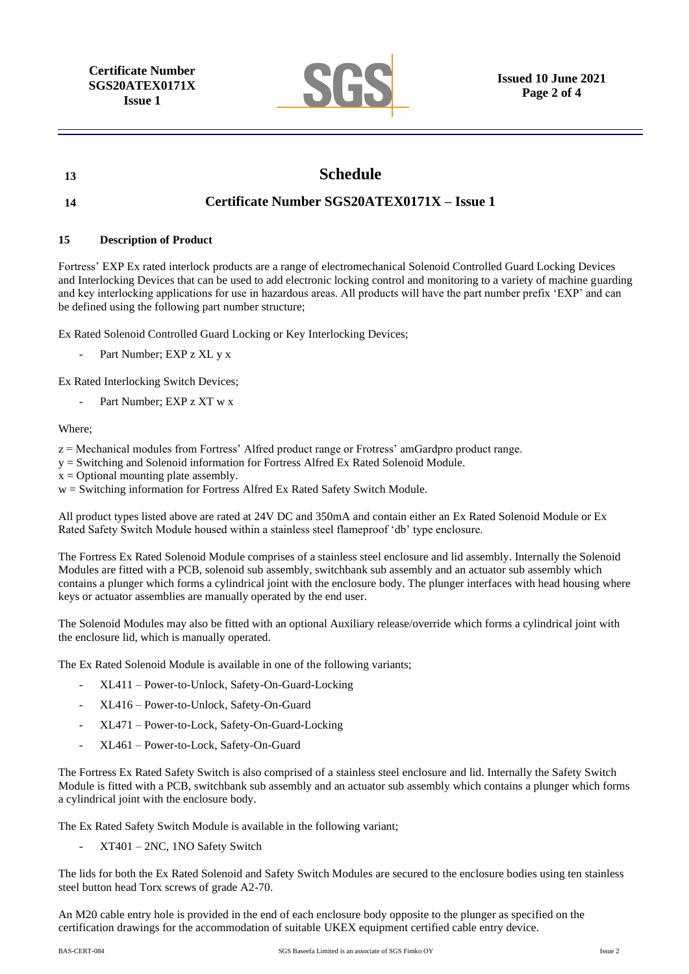**Certificate Number SGS20ATEX0171X Issue 1**



# **13 Schedule**

## **14 Certificate Number SGS20ATEX0171X – Issue 1**

### **15 Description of Product**

Fortress' EXP Ex rated interlock products are a range of electromechanical Solenoid Controlled Guard Locking Devices and Interlocking Devices that can be used to add electronic locking control and monitoring to a variety of machine guarding and key interlocking applications for use in hazardous areas. All products will have the part number prefix 'EXP' and can be defined using the following part number structure;

Ex Rated Solenoid Controlled Guard Locking or Key Interlocking Devices;

Part Number; EXP z XL y x

Ex Rated Interlocking Switch Devices;

Part Number; EXP z XT w x

#### Where;

- z = Mechanical modules from Fortress' Alfred product range or Frotress' amGardpro product range.
- y = Switching and Solenoid information for Fortress Alfred Ex Rated Solenoid Module.
- $x =$ Optional mounting plate assembly.
- w = Switching information for Fortress Alfred Ex Rated Safety Switch Module.

All product types listed above are rated at 24V DC and 350mA and contain either an Ex Rated Solenoid Module or Ex Rated Safety Switch Module housed within a stainless steel flameproof 'db' type enclosure.

The Fortress Ex Rated Solenoid Module comprises of a stainless steel enclosure and lid assembly. Internally the Solenoid Modules are fitted with a PCB, solenoid sub assembly, switchbank sub assembly and an actuator sub assembly which contains a plunger which forms a cylindrical joint with the enclosure body. The plunger interfaces with head housing where keys or actuator assemblies are manually operated by the end user.

The Solenoid Modules may also be fitted with an optional Auxiliary release/override which forms a cylindrical joint with the enclosure lid, which is manually operated.

The Ex Rated Solenoid Module is available in one of the following variants;

- XL411 Power-to-Unlock, Safety-On-Guard-Locking
- XL416 Power-to-Unlock, Safety-On-Guard
- XL471 Power-to-Lock, Safety-On-Guard-Locking
- XL461 Power-to-Lock, Safety-On-Guard

The Fortress Ex Rated Safety Switch is also comprised of a stainless steel enclosure and lid. Internally the Safety Switch Module is fitted with a PCB, switchbank sub assembly and an actuator sub assembly which contains a plunger which forms a cylindrical joint with the enclosure body.

The Ex Rated Safety Switch Module is available in the following variant;

- XT401 – 2NC, 1NO Safety Switch

The lids for both the Ex Rated Solenoid and Safety Switch Modules are secured to the enclosure bodies using ten stainless steel button head Torx screws of grade A2-70.

An M20 cable entry hole is provided in the end of each enclosure body opposite to the plunger as specified on the certification drawings for the accommodation of suitable UKEX equipment certified cable entry device.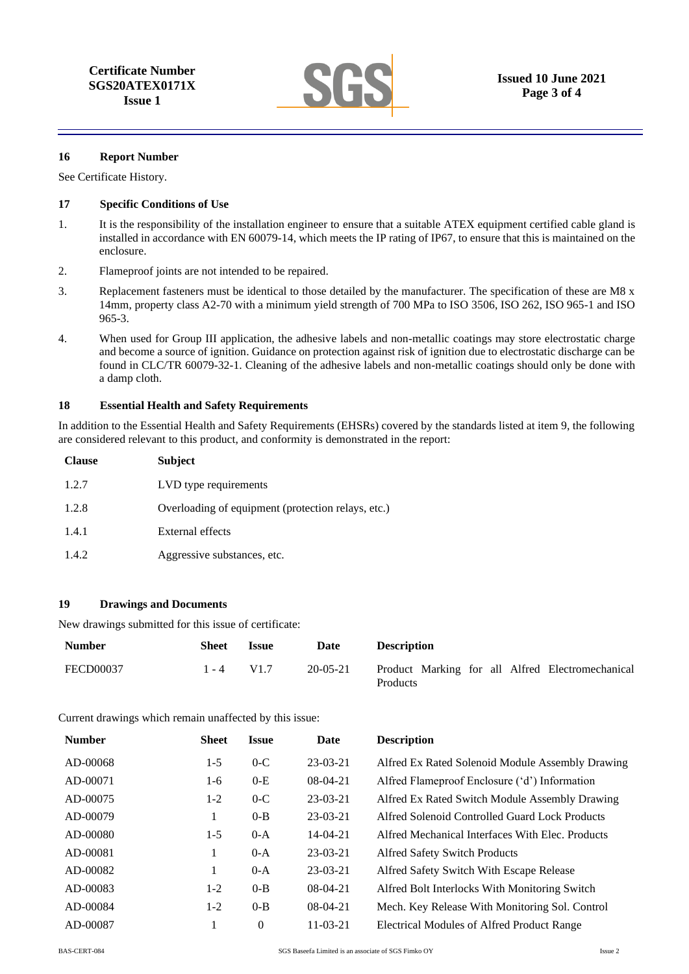

#### **16 Report Number**

See Certificate History.

#### **17 Specific Conditions of Use**

- 1. It is the responsibility of the installation engineer to ensure that a suitable ATEX equipment certified cable gland is installed in accordance with EN 60079-14, which meets the IP rating of IP67, to ensure that this is maintained on the enclosure.
- 2. Flameproof joints are not intended to be repaired.
- 3. Replacement fasteners must be identical to those detailed by the manufacturer. The specification of these are M8 x 14mm, property class A2-70 with a minimum yield strength of 700 MPa to ISO 3506, ISO 262, ISO 965-1 and ISO 965-3.
- 4. When used for Group III application, the adhesive labels and non-metallic coatings may store electrostatic charge and become a source of ignition. Guidance on protection against risk of ignition due to electrostatic discharge can be found in CLC/TR 60079-32-1. Cleaning of the adhesive labels and non-metallic coatings should only be done with a damp cloth.

#### **18 Essential Health and Safety Requirements**

In addition to the Essential Health and Safety Requirements (EHSRs) covered by the standards listed at item 9, the following are considered relevant to this product, and conformity is demonstrated in the report:

| <b>Clause</b> | <b>Subject</b>                                     |
|---------------|----------------------------------------------------|
| 1.2.7         | LVD type requirements                              |
| 1.2.8         | Overloading of equipment (protection relays, etc.) |
| 1.4.1         | <b>External effects</b>                            |
| 1.4.2         | Aggressive substances, etc.                        |

#### **19 Drawings and Documents**

New drawings submitted for this issue of certificate:

| <b>Number</b>    | Sheet        | <i><b>Issue</b></i> | Date           | <b>Description</b>                                           |
|------------------|--------------|---------------------|----------------|--------------------------------------------------------------|
| <b>FECD00037</b> | $1 - 4$ V1.7 |                     | $20 - 05 - 21$ | Product Marking for all Alfred Electromechanical<br>Products |

Current drawings which remain unaffected by this issue:

| <b>Number</b> | <b>Sheet</b> | <b>Issue</b> | Date           | <b>Description</b>                               |
|---------------|--------------|--------------|----------------|--------------------------------------------------|
| AD-00068      | $1-5$        | $0-C$        | $23-03-21$     | Alfred Ex Rated Solenoid Module Assembly Drawing |
| AD-00071      | 1-6          | $0-E$        | $08-04-21$     | Alfred Flameproof Enclosure ('d') Information    |
| AD-00075      | $1-2$        | $0-C$        | $23-03-21$     | Alfred Ex Rated Switch Module Assembly Drawing   |
| AD-00079      | 1            | $0 - B$      | $23-03-21$     | Alfred Solenoid Controlled Guard Lock Products   |
| AD-00080      | $1-5$        | $0-A$        | $14 - 04 - 21$ | Alfred Mechanical Interfaces With Elec. Products |
| AD-00081      | 1            | $0-A$        | $23-03-21$     | <b>Alfred Safety Switch Products</b>             |
| AD-00082      | 1            | $0-A$        | $23-03-21$     | Alfred Safety Switch With Escape Release         |
| AD-00083      | $1-2$        | $0 - B$      | $08-04-21$     | Alfred Bolt Interlocks With Monitoring Switch    |
| AD-00084      | $1-2$        | $0 - B$      | $08-04-21$     | Mech. Key Release With Monitoring Sol. Control   |
| AD-00087      |              | $\Omega$     | $11 - 03 - 21$ | Electrical Modules of Alfred Product Range       |